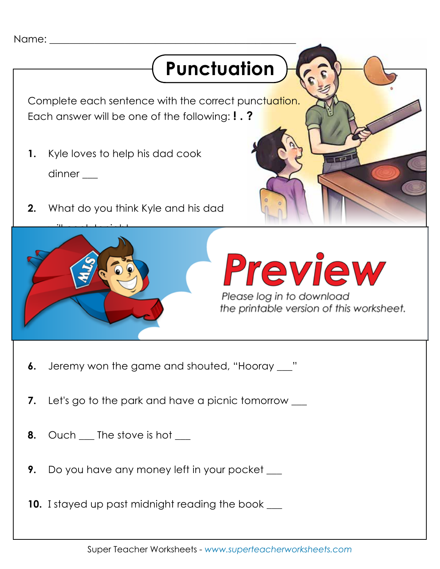# **Punctuation**

Complete each sentence with the correct punctuation. Each answer will be one of the following: **! . ?**

- **1.** Kyle loves to help his dad cook dinner \_\_\_
- **2.** What do you think Kyle and his dad



# Preview

- **6.** Jeremy won the game and shouted, "Hooray \_\_\_"
- **7.** Let's go to the park and have a picnic tomorrow
- **8.** Ouch The stove is hot
- **9.** Do you have any money left in your pocket

**10.** I stayed up past midnight reading the book